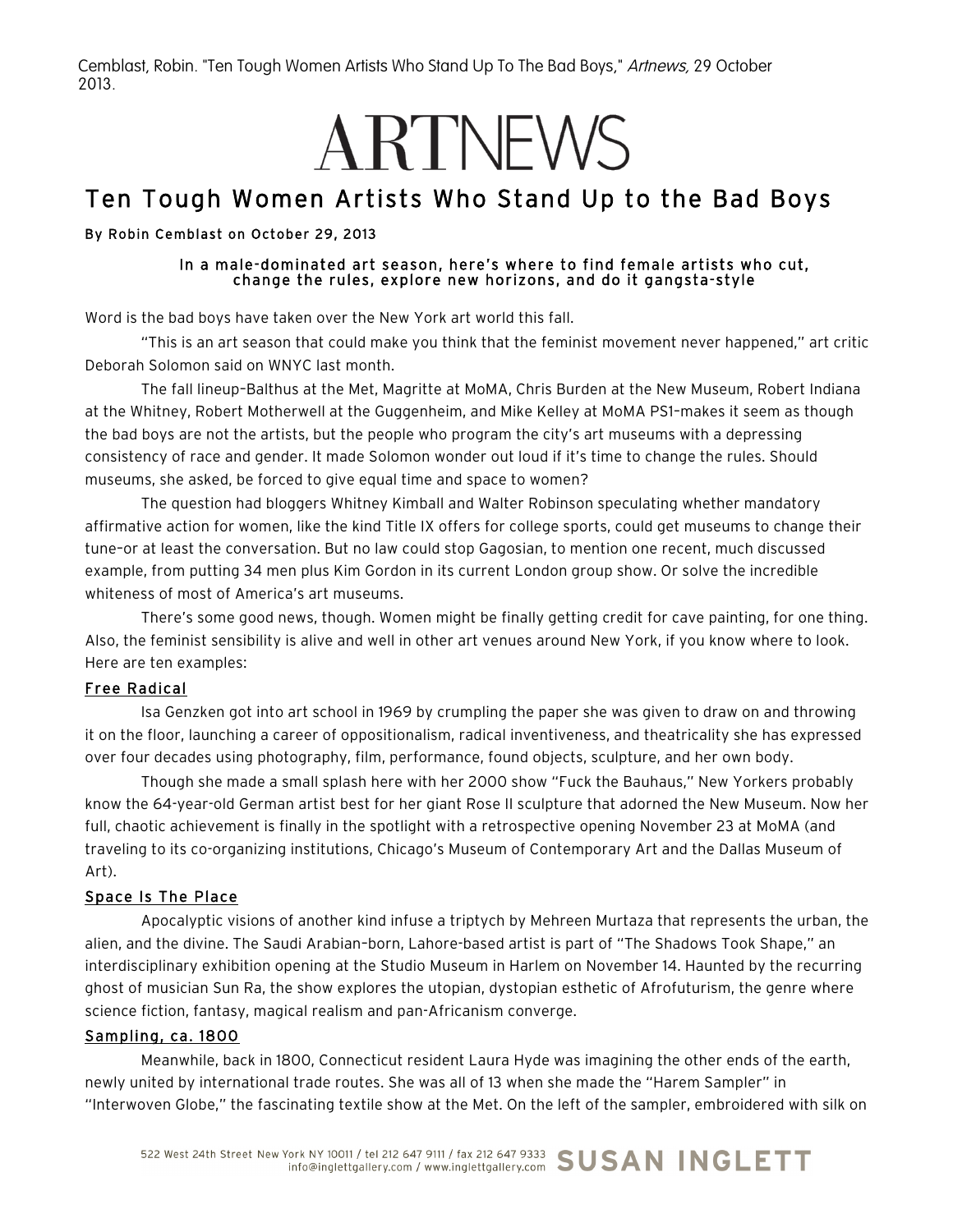Cemblast, Robin. "Ten Tough Women Artists Who Stand Up To The Bad Boys," Artnews, 29 October 2013.

# ARTNEWS

# Ten Tough Women Artists Who Stand Up to the Bad Boys

#### By Robin Cemblast on October 29, 2013

#### In a male-dominated art season, here's where to find female artists who cut, change the rules, explore new horizons, and do it gangsta-style

Word is the bad boys have taken over the New York art world this fall.

"This is an art season that could make you think that the feminist movement never happened," art critic Deborah Solomon said on WNYC last month.

The fall lineup–Balthus at the Met, Magritte at MoMA, Chris Burden at the New Museum, Robert Indiana at the Whitney, Robert Motherwell at the Guggenheim, and Mike Kelley at MoMA PS1–makes it seem as though the bad boys are not the artists, but the people who program the city's art museums with a depressing consistency of race and gender. It made Solomon wonder out loud if it's time to change the rules. Should museums, she asked, be forced to give equal time and space to women?

The question had bloggers Whitney Kimball and Walter Robinson speculating whether mandatory affirmative action for women, like the kind Title IX offers for college sports, could get museums to change their tune–or at least the conversation. But no law could stop Gagosian, to mention one recent, much discussed example, from putting 34 men plus Kim Gordon in its current London group show. Or solve the incredible whiteness of most of America's art museums.

There's some good news, though. Women might be finally getting credit for cave painting, for one thing. Also, the feminist sensibility is alive and well in other art venues around New York, if you know where to look. Here are ten examples:

#### Free Radical

Isa Genzken got into art school in 1969 by crumpling the paper she was given to draw on and throwing it on the floor, launching a career of oppositionalism, radical inventiveness, and theatricality she has expressed over four decades using photography, film, performance, found objects, sculpture, and her own body.

Though she made a small splash here with her 2000 show "Fuck the Bauhaus," New Yorkers probably know the 64-year-old German artist best for her giant Rose II sculpture that adorned the New Museum. Now her full, chaotic achievement is finally in the spotlight with a retrospective opening November 23 at MoMA (and traveling to its co-organizing institutions, Chicago's Museum of Contemporary Art and the Dallas Museum of Art).

#### Space Is The Place

Apocalyptic visions of another kind infuse a triptych by Mehreen Murtaza that represents the urban, the alien, and the divine. The Saudi Arabian–born, Lahore-based artist is part of "The Shadows Took Shape," an interdisciplinary exhibition opening at the Studio Museum in Harlem on November 14. Haunted by the recurring ghost of musician Sun Ra, the show explores the utopian, dystopian esthetic of Afrofuturism, the genre where science fiction, fantasy, magical realism and pan-Africanism converge.

#### Sampling, ca. 1800

Meanwhile, back in 1800, Connecticut resident Laura Hyde was imagining the other ends of the earth, newly united by international trade routes. She was all of 13 when she made the "Harem Sampler" in "Interwoven Globe," the fascinating textile show at the Met. On the left of the sampler, embroidered with silk on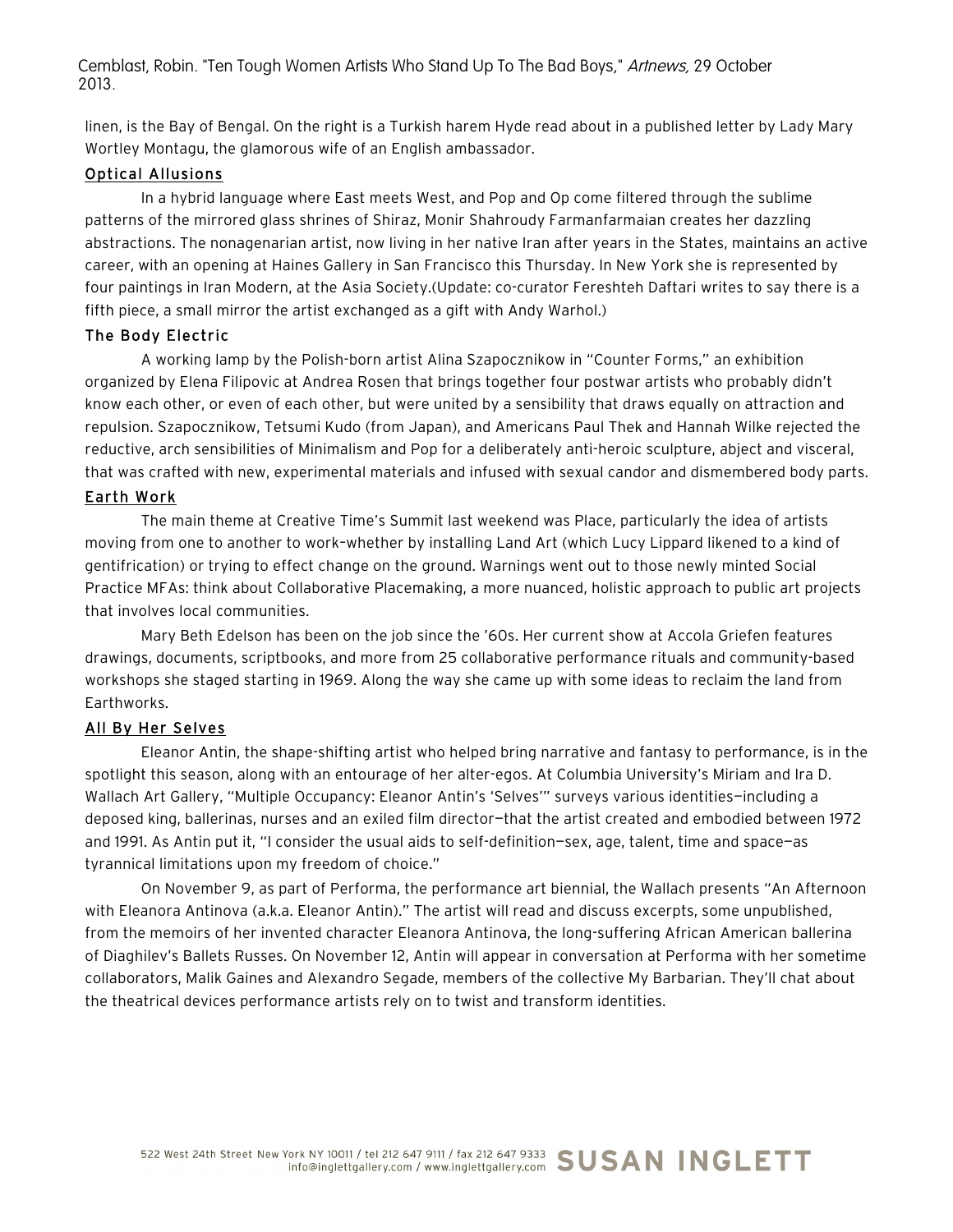Cemblast, Robin. "Ten Tough Women Artists Who Stand Up To The Bad Boys," Artnews, 29 October 2013.

linen, is the Bay of Bengal. On the right is a Turkish harem Hyde read about in a published letter by Lady Mary Wortley Montagu, the glamorous wife of an English ambassador.

#### Optical Allusions

In a hybrid language where East meets West, and Pop and Op come filtered through the sublime patterns of the mirrored glass shrines of Shiraz, Monir Shahroudy Farmanfarmaian creates her dazzling abstractions. The nonagenarian artist, now living in her native Iran after years in the States, maintains an active career, with an opening at Haines Gallery in San Francisco this Thursday. In New York she is represented by four paintings in Iran Modern, at the Asia Society.(Update: co-curator Fereshteh Daftari writes to say there is a fifth piece, a small mirror the artist exchanged as a gift with Andy Warhol.)

#### The Body Electric

A working lamp by the Polish-born artist Alina Szapocznikow in "Counter Forms," an exhibition organized by Elena Filipovic at Andrea Rosen that brings together four postwar artists who probably didn't know each other, or even of each other, but were united by a sensibility that draws equally on attraction and repulsion. Szapocznikow, Tetsumi Kudo (from Japan), and Americans Paul Thek and Hannah Wilke rejected the reductive, arch sensibilities of Minimalism and Pop for a deliberately anti-heroic sculpture, abject and visceral, that was crafted with new, experimental materials and infused with sexual candor and dismembered body parts.

#### Earth Work

The main theme at Creative Time's Summit last weekend was Place, particularly the idea of artists moving from one to another to work–whether by installing Land Art (which Lucy Lippard likened to a kind of gentifrication) or trying to effect change on the ground. Warnings went out to those newly minted Social Practice MFAs: think about Collaborative Placemaking, a more nuanced, holistic approach to public art projects that involves local communities.

Mary Beth Edelson has been on the job since the '60s. Her current show at Accola Griefen features drawings, documents, scriptbooks, and more from 25 collaborative performance rituals and community-based workshops she staged starting in 1969. Along the way she came up with some ideas to reclaim the land from Earthworks.

#### All By Her Selves

Eleanor Antin, the shape-shifting artist who helped bring narrative and fantasy to performance, is in the spotlight this season, along with an entourage of her alter-egos. At Columbia University's Miriam and Ira D. Wallach Art Gallery, "Multiple Occupancy: Eleanor Antin's 'Selves'" surveys various identities—including a deposed king, ballerinas, nurses and an exiled film director—that the artist created and embodied between 1972 and 1991. As Antin put it, "I consider the usual aids to self-definition—sex, age, talent, time and space—as tyrannical limitations upon my freedom of choice."

On November 9, as part of Performa, the performance art biennial, the Wallach presents "An Afternoon with Eleanora Antinova (a.k.a. Eleanor Antin)." The artist will read and discuss excerpts, some unpublished, from the memoirs of her invented character Eleanora Antinova, the long-suffering African American ballerina of Diaghilev's Ballets Russes. On November 12, Antin will appear in conversation at Performa with her sometime collaborators, Malik Gaines and Alexandro Segade, members of the collective My Barbarian. They'll chat about the theatrical devices performance artists rely on to twist and transform identities.